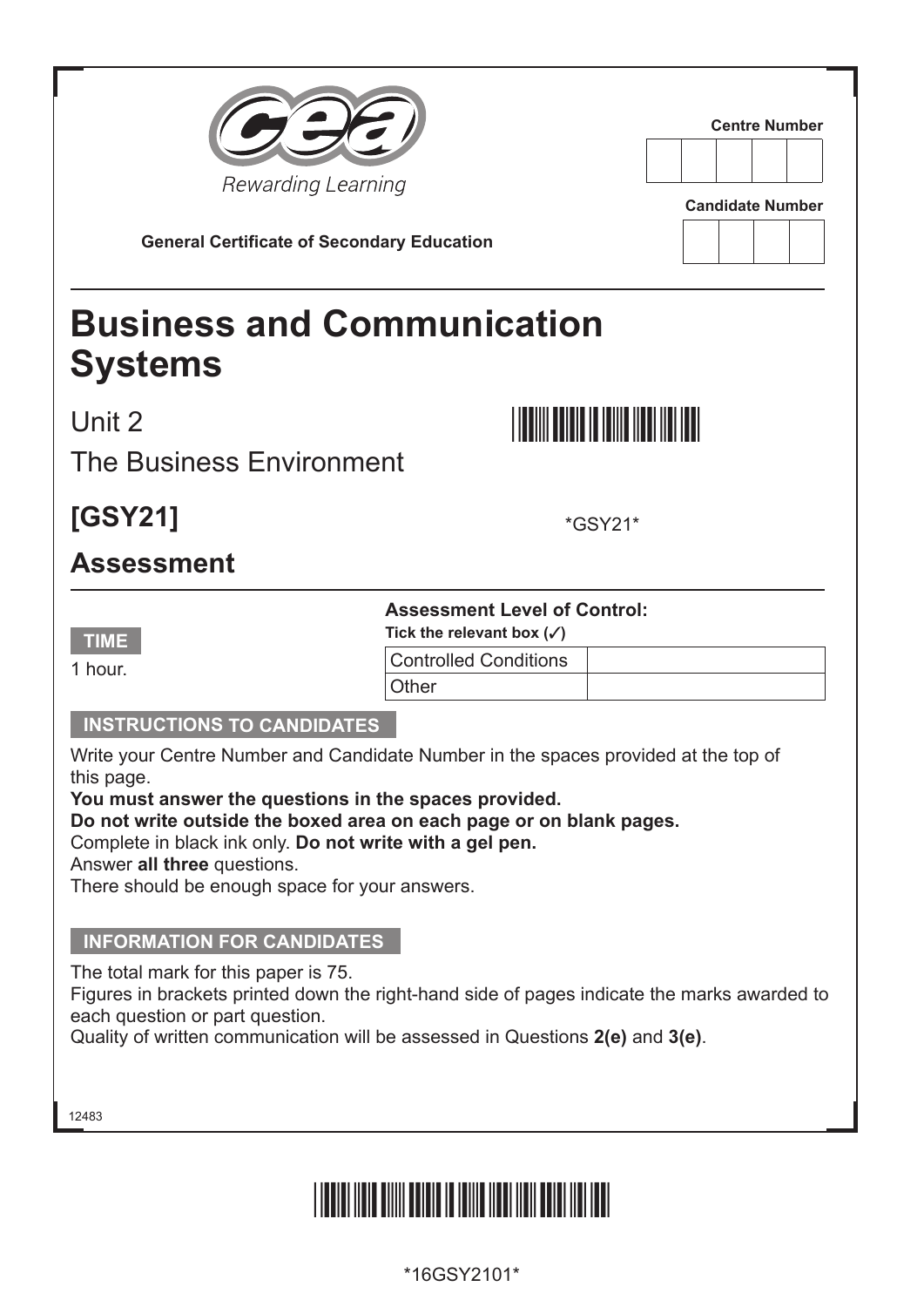| Rewarding Learning<br><b>General Certificate of Secondary Education</b>                                                                                                                                                                                                                                                                                                                                            |                                                                                                                      | <b>Centre Number</b><br><b>Candidate Number</b> |
|--------------------------------------------------------------------------------------------------------------------------------------------------------------------------------------------------------------------------------------------------------------------------------------------------------------------------------------------------------------------------------------------------------------------|----------------------------------------------------------------------------------------------------------------------|-------------------------------------------------|
| <b>Business and Communication</b><br><b>Systems</b>                                                                                                                                                                                                                                                                                                                                                                |                                                                                                                      |                                                 |
| Unit 2<br><b>The Business Environment</b>                                                                                                                                                                                                                                                                                                                                                                          |                                                                                                                      |                                                 |
| [GSY21]                                                                                                                                                                                                                                                                                                                                                                                                            |                                                                                                                      | <i>*</i> GSY21*                                 |
| <b>Assessment</b>                                                                                                                                                                                                                                                                                                                                                                                                  |                                                                                                                      |                                                 |
| <b>TIME</b><br>1 hour.                                                                                                                                                                                                                                                                                                                                                                                             | <b>Assessment Level of Control:</b><br>Tick the relevant box $(\checkmark)$<br><b>Controlled Conditions</b><br>Other |                                                 |
| <b>INSTRUCTIONS TO CANDIDATES</b><br>Write your Centre Number and Candidate Number in the spaces provided at the top of<br>this page.<br>You must answer the questions in the spaces provided.<br>Do not write outside the boxed area on each page or on blank pages.<br>Complete in black ink only. Do not write with a gel pen.<br>Answer all three questions.<br>There should be enough space for your answers. |                                                                                                                      |                                                 |
| <b>INFORMATION FOR CANDIDATES</b><br>The total mark for this paper is 75.<br>Figures in brackets printed down the right-hand side of pages indicate the marks awarded to<br>each question or part question.<br>Quality of written communication will be assessed in Questions 2(e) and 3(e).                                                                                                                       |                                                                                                                      |                                                 |
| 12483                                                                                                                                                                                                                                                                                                                                                                                                              |                                                                                                                      |                                                 |

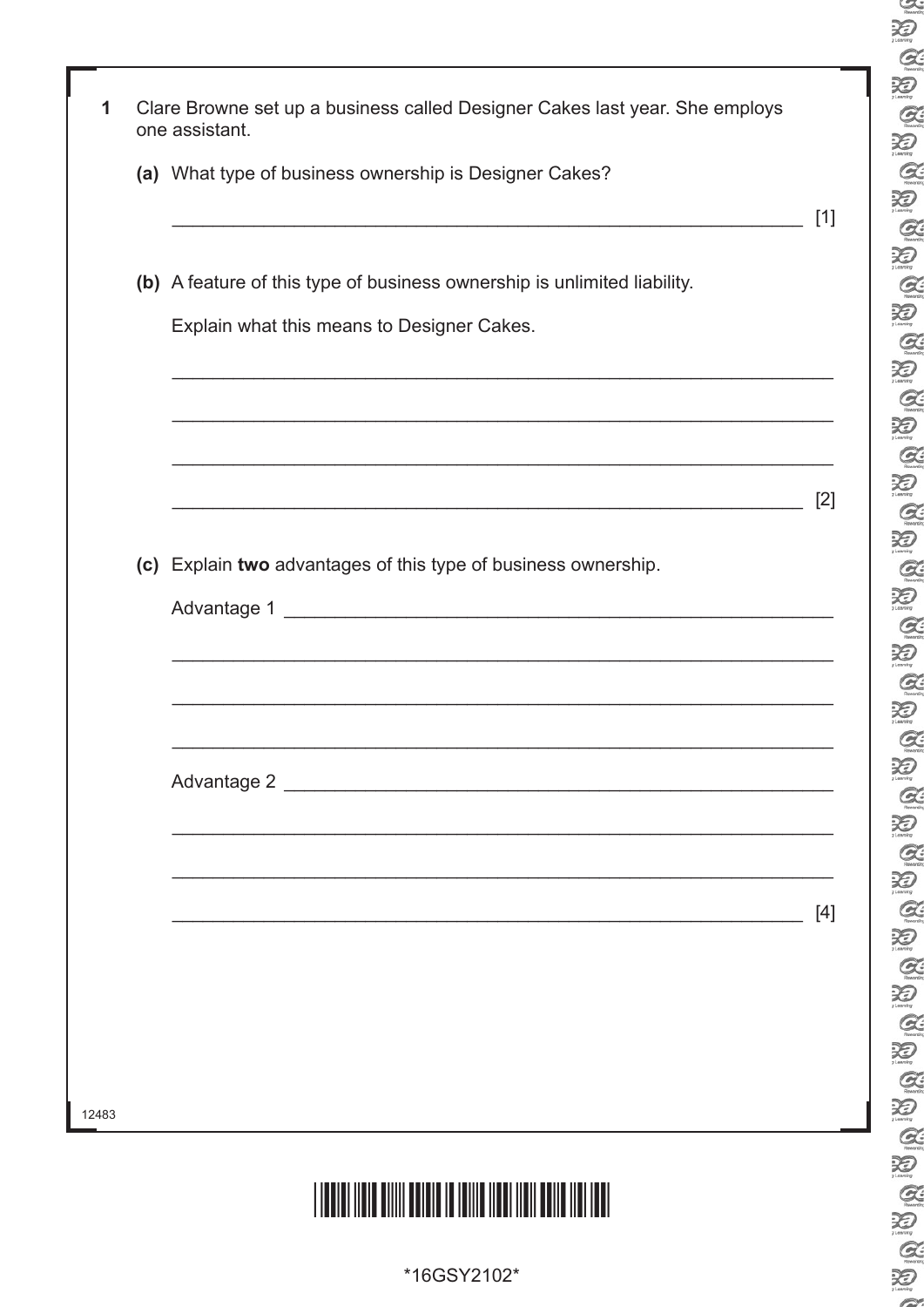| 1     | Clare Browne set up a business called Designer Cakes last year. She employs                                           |       |
|-------|-----------------------------------------------------------------------------------------------------------------------|-------|
|       | one assistant.                                                                                                        |       |
|       | (a) What type of business ownership is Designer Cakes?                                                                |       |
|       |                                                                                                                       | $[1]$ |
|       | (b) A feature of this type of business ownership is unlimited liability.                                              |       |
|       | Explain what this means to Designer Cakes.                                                                            |       |
|       |                                                                                                                       |       |
|       | <u> 1990 - Jan James James James James James James James James James James James James James James James James J</u>  |       |
|       | <u> 1990 - Johann John Stone, martin de Berlin, martin de Berlin, martin de Berlin, martin de Berlin, martin de B</u> |       |
|       |                                                                                                                       | $[2]$ |
|       |                                                                                                                       |       |
|       | (c) Explain two advantages of this type of business ownership.                                                        |       |
|       |                                                                                                                       |       |
|       |                                                                                                                       |       |
|       |                                                                                                                       |       |
|       | <u> 1989 - Johann Harry Harry Harry Harry Harry Harry Harry Harry Harry Harry Harry Harry Harry Harry Harry Harry</u> |       |
|       |                                                                                                                       |       |
|       |                                                                                                                       |       |
|       | <u> 1989 - Johann John Stoff, deutscher Stoffen und der Stoffen und der Stoffen und der Stoffen und der Stoffen</u>   | $[4]$ |
|       |                                                                                                                       |       |
|       |                                                                                                                       |       |
|       |                                                                                                                       |       |
|       |                                                                                                                       |       |
| 12483 |                                                                                                                       |       |
|       |                                                                                                                       |       |
|       |                                                                                                                       |       |
|       |                                                                                                                       |       |
|       | *16GSY2102*                                                                                                           |       |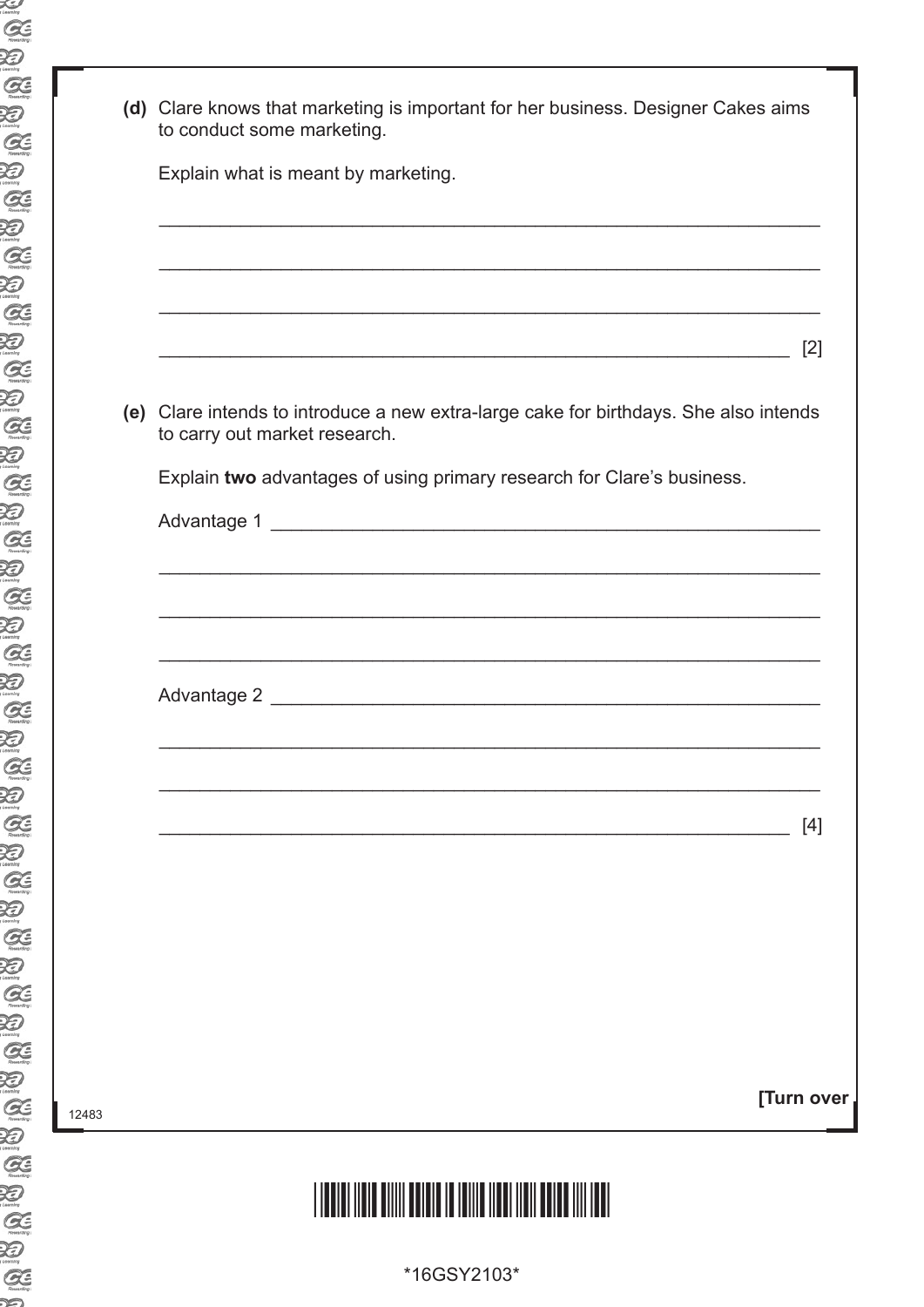| (d) Clare knows that marketing is important for her business. Designer Cakes aims<br>to conduct some marketing.<br>Explain what is meant by marketing.<br>[2]<br>(e) Clare intends to introduce a new extra-large cake for birthdays. She also intends<br>to carry out market research.<br>Explain two advantages of using primary research for Clare's business. |  |
|-------------------------------------------------------------------------------------------------------------------------------------------------------------------------------------------------------------------------------------------------------------------------------------------------------------------------------------------------------------------|--|
|                                                                                                                                                                                                                                                                                                                                                                   |  |
|                                                                                                                                                                                                                                                                                                                                                                   |  |
|                                                                                                                                                                                                                                                                                                                                                                   |  |
|                                                                                                                                                                                                                                                                                                                                                                   |  |
|                                                                                                                                                                                                                                                                                                                                                                   |  |
|                                                                                                                                                                                                                                                                                                                                                                   |  |
|                                                                                                                                                                                                                                                                                                                                                                   |  |
|                                                                                                                                                                                                                                                                                                                                                                   |  |
|                                                                                                                                                                                                                                                                                                                                                                   |  |
|                                                                                                                                                                                                                                                                                                                                                                   |  |
|                                                                                                                                                                                                                                                                                                                                                                   |  |
|                                                                                                                                                                                                                                                                                                                                                                   |  |
| <u> 1989 - Johann Stoff, amerikansk politiker (d. 1989)</u>                                                                                                                                                                                                                                                                                                       |  |
|                                                                                                                                                                                                                                                                                                                                                                   |  |
|                                                                                                                                                                                                                                                                                                                                                                   |  |
|                                                                                                                                                                                                                                                                                                                                                                   |  |
|                                                                                                                                                                                                                                                                                                                                                                   |  |
| $[4]$                                                                                                                                                                                                                                                                                                                                                             |  |
|                                                                                                                                                                                                                                                                                                                                                                   |  |
|                                                                                                                                                                                                                                                                                                                                                                   |  |
|                                                                                                                                                                                                                                                                                                                                                                   |  |
|                                                                                                                                                                                                                                                                                                                                                                   |  |
|                                                                                                                                                                                                                                                                                                                                                                   |  |
|                                                                                                                                                                                                                                                                                                                                                                   |  |
| [Turn over                                                                                                                                                                                                                                                                                                                                                        |  |

##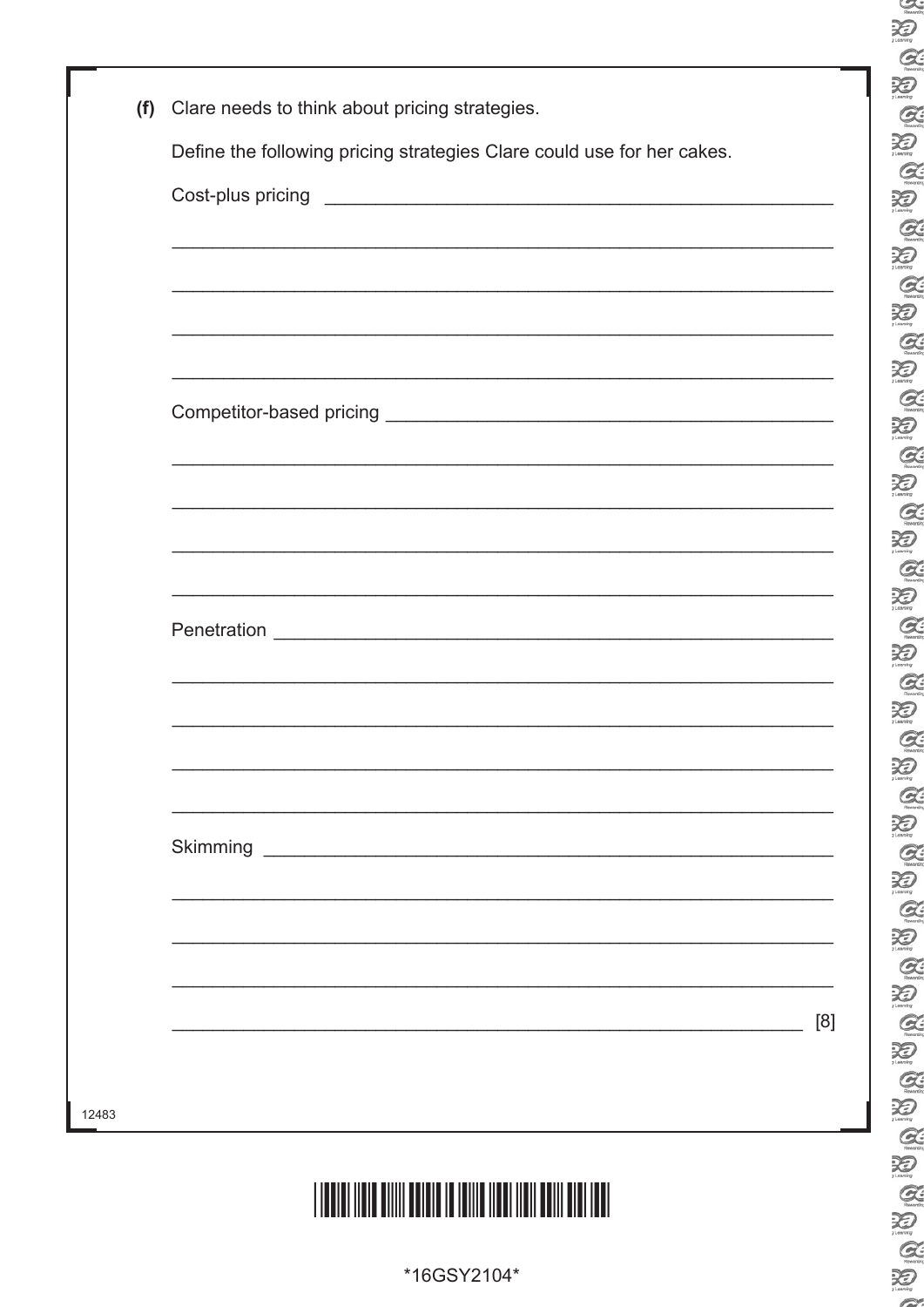| (f)   | Clare needs to think about pricing strategies.                         |
|-------|------------------------------------------------------------------------|
|       | Define the following pricing strategies Clare could use for her cakes. |
|       |                                                                        |
|       |                                                                        |
|       |                                                                        |
|       |                                                                        |
|       |                                                                        |
|       |                                                                        |
|       |                                                                        |
|       | <u> 1989 - Johann Stoff, amerikansk politiker (d. 1989)</u>            |
|       |                                                                        |
|       |                                                                        |
|       |                                                                        |
|       |                                                                        |
|       |                                                                        |
|       |                                                                        |
|       |                                                                        |
|       |                                                                        |
|       |                                                                        |
|       |                                                                        |
|       | [8]                                                                    |
|       |                                                                        |
| 12483 |                                                                        |
|       |                                                                        |

\*16GSY2104\*

 $\sim$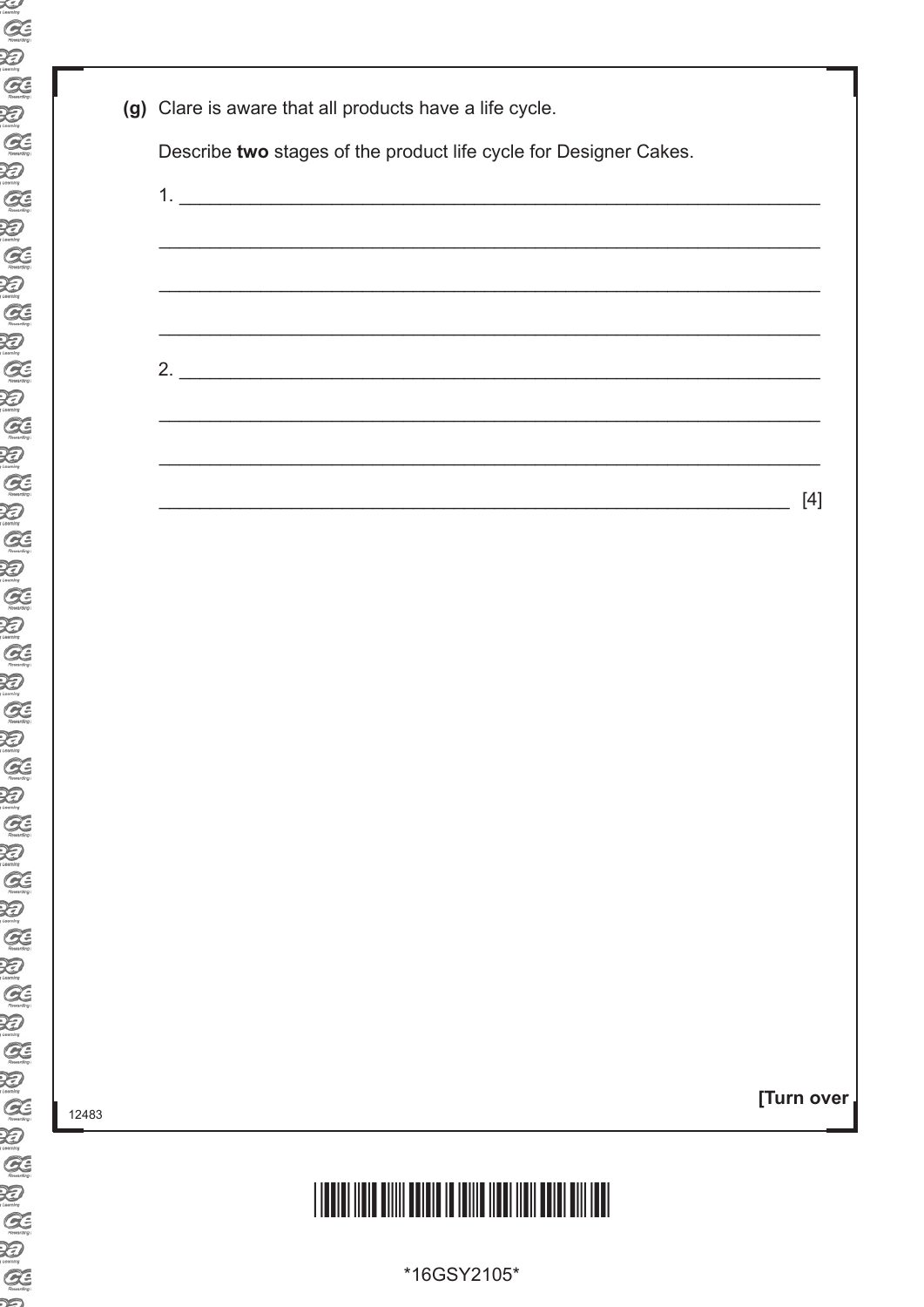| (g) Clare is aware that all products have a life cycle.                                                             |            |
|---------------------------------------------------------------------------------------------------------------------|------------|
| Describe two stages of the product life cycle for Designer Cakes.                                                   |            |
|                                                                                                                     |            |
|                                                                                                                     |            |
|                                                                                                                     |            |
|                                                                                                                     |            |
| 2.                                                                                                                  |            |
|                                                                                                                     |            |
| <u> 1999 - 1999 - 1999 - 1999 - 1999 - 1999 - 1999 - 1999 - 1999 - 1999 - 1999 - 1999 - 1999 - 1999 - 1999 - 19</u> |            |
|                                                                                                                     | $[4]$      |
|                                                                                                                     |            |
|                                                                                                                     |            |
|                                                                                                                     |            |
|                                                                                                                     |            |
|                                                                                                                     |            |
|                                                                                                                     |            |
|                                                                                                                     |            |
|                                                                                                                     |            |
|                                                                                                                     |            |
|                                                                                                                     |            |
|                                                                                                                     |            |
|                                                                                                                     |            |
|                                                                                                                     | [Turn over |
|                                                                                                                     |            |
|                                                                                                                     |            |

\*16GSY2105\*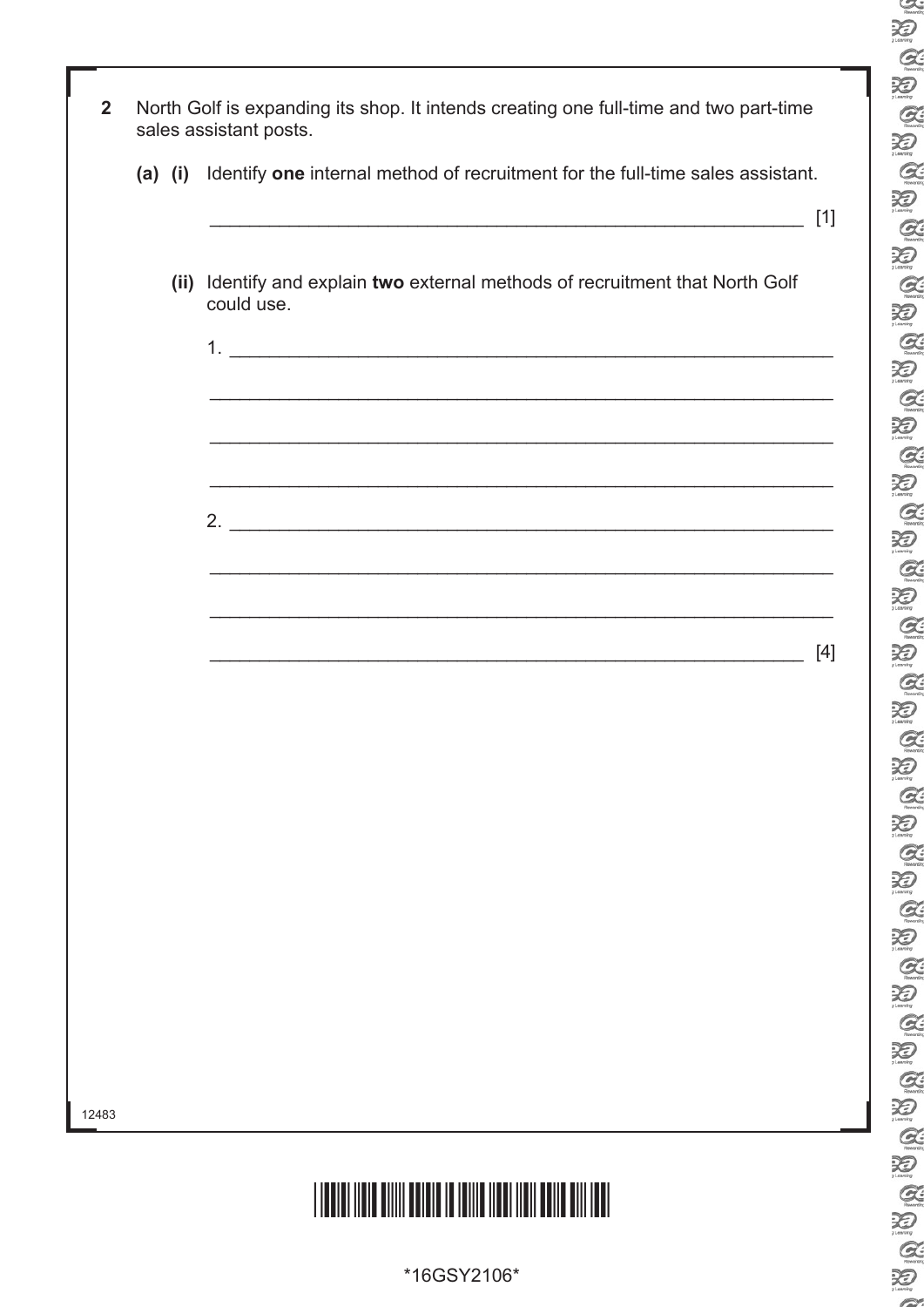| $\overline{2}$ |  | North Golf is expanding its shop. It intends creating one full-time and two part-time<br>sales assistant posts.  |       |
|----------------|--|------------------------------------------------------------------------------------------------------------------|-------|
|                |  | (a) (i) Identify one internal method of recruitment for the full-time sales assistant.                           | $[1]$ |
|                |  | (ii) Identify and explain two external methods of recruitment that North Golf<br>could use.                      |       |
|                |  |                                                                                                                  |       |
|                |  |                                                                                                                  |       |
|                |  | and the control of the control of the control of the control of the control of the control of the control of the |       |
|                |  |                                                                                                                  | $[4]$ |
|                |  |                                                                                                                  |       |
|                |  |                                                                                                                  |       |
|                |  |                                                                                                                  |       |
|                |  |                                                                                                                  |       |
| 12483          |  |                                                                                                                  |       |
|                |  |                                                                                                                  |       |

\*16GSY2106\*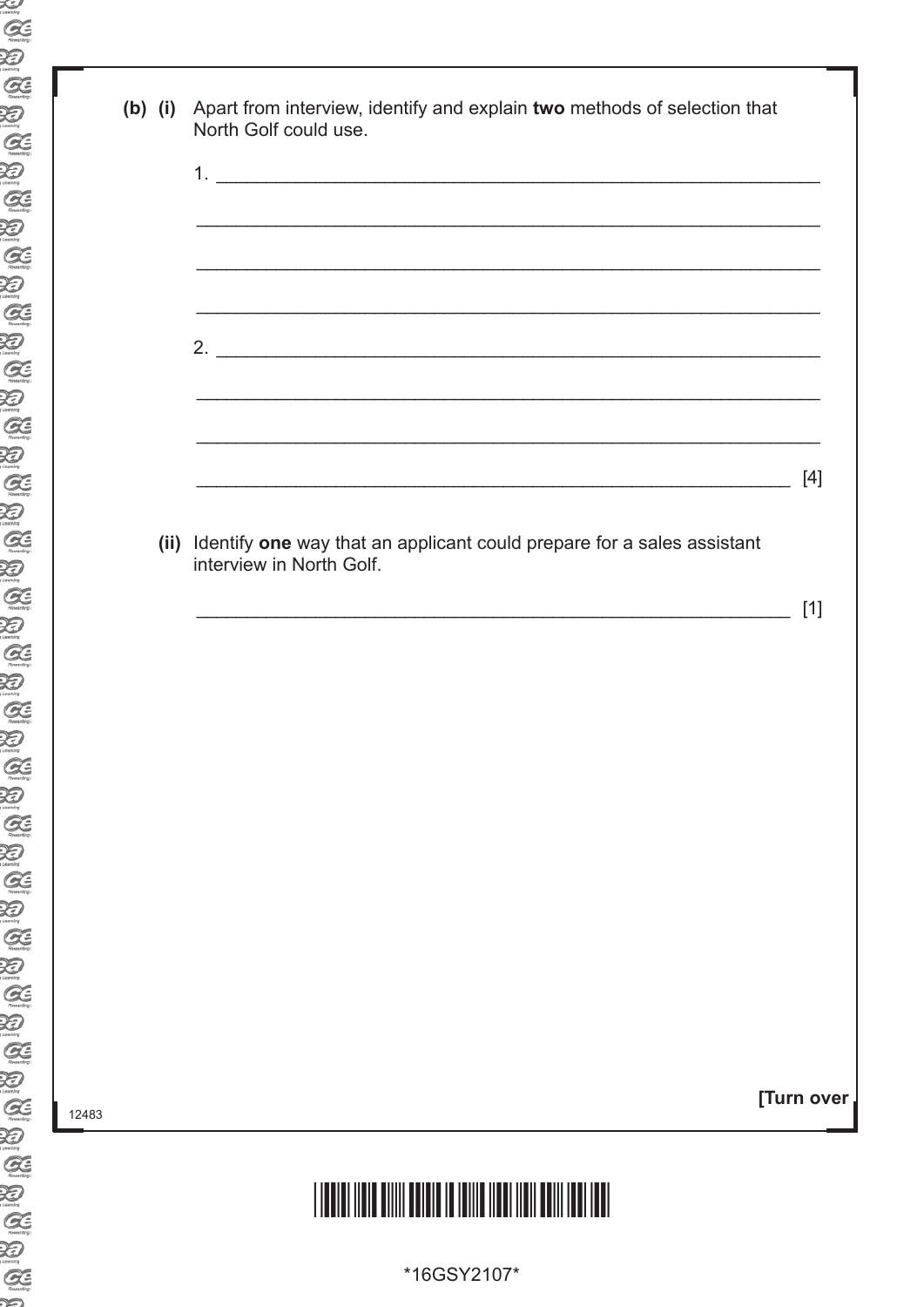| $(b)$ $(i)$ | Apart from interview, identify and explain two methods of selection that<br>North Golf could use.       |            |
|-------------|---------------------------------------------------------------------------------------------------------|------------|
|             |                                                                                                         |            |
|             |                                                                                                         |            |
|             |                                                                                                         |            |
|             |                                                                                                         |            |
|             |                                                                                                         |            |
|             |                                                                                                         | $[4]$      |
|             | (ii) Identify one way that an applicant could prepare for a sales assistant<br>interview in North Golf. |            |
|             |                                                                                                         | $[1]$      |
|             |                                                                                                         |            |
|             |                                                                                                         |            |
|             |                                                                                                         |            |
|             |                                                                                                         |            |
|             |                                                                                                         |            |
|             |                                                                                                         |            |
|             |                                                                                                         | [Turn over |
|             |                                                                                                         |            |

\*16GSY2107\*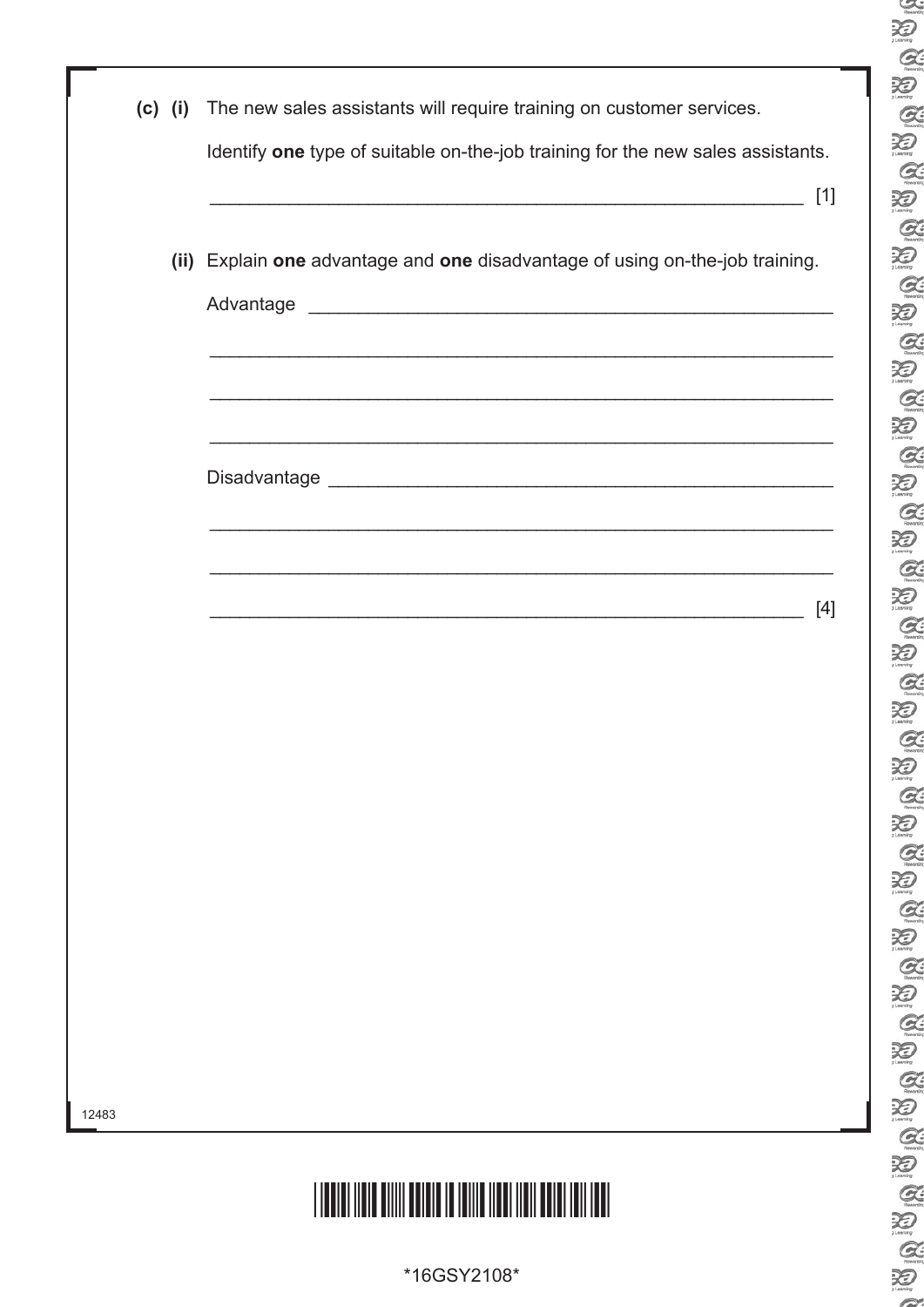| $\mathcal{Q}$<br>Q<br>Q<br>D<br>Q<br>$\sum_{l,\text{norm}}$<br>$\mathcal{Q}$<br>$\sum_{l \text{ country}}$<br>Q<br>XI)<br>1.comine<br>$\alpha$<br>Ð<br>$\alpha$<br>XI)<br>$\mathcal{Q}$<br>Q<br>Q<br>$\sum_{t \text{ country}}$<br>Q<br>$\bigotimes$<br>Q<br>Q<br>$\mathcal{G}$<br>د€ڌ<br>G<br>XI)<br>$\mathcal{G}$<br>Ð<br>$\mathcal{Q}$<br>$\bigotimes_{l \text{ convex}}$<br>$\mathcal{Q}$<br>RI)<br>Q<br>$\chi_{\mathcal{D}}$<br>$\mathcal{Q}$<br>D<br>$\mathcal{G}$<br>Đ<br>$\mathcal{G}$<br>X.<br>$\mathcal{G}$<br>X)<br>$\mathcal{Q}$<br>Ð | XI)<br>1. coming |
|---------------------------------------------------------------------------------------------------------------------------------------------------------------------------------------------------------------------------------------------------------------------------------------------------------------------------------------------------------------------------------------------------------------------------------------------------------------------------------------------------------------------------------------------------|------------------|
|                                                                                                                                                                                                                                                                                                                                                                                                                                                                                                                                                   |                  |
|                                                                                                                                                                                                                                                                                                                                                                                                                                                                                                                                                   |                  |
|                                                                                                                                                                                                                                                                                                                                                                                                                                                                                                                                                   |                  |
|                                                                                                                                                                                                                                                                                                                                                                                                                                                                                                                                                   |                  |
|                                                                                                                                                                                                                                                                                                                                                                                                                                                                                                                                                   |                  |
|                                                                                                                                                                                                                                                                                                                                                                                                                                                                                                                                                   |                  |
|                                                                                                                                                                                                                                                                                                                                                                                                                                                                                                                                                   |                  |
|                                                                                                                                                                                                                                                                                                                                                                                                                                                                                                                                                   |                  |
|                                                                                                                                                                                                                                                                                                                                                                                                                                                                                                                                                   |                  |
|                                                                                                                                                                                                                                                                                                                                                                                                                                                                                                                                                   |                  |
|                                                                                                                                                                                                                                                                                                                                                                                                                                                                                                                                                   |                  |
|                                                                                                                                                                                                                                                                                                                                                                                                                                                                                                                                                   |                  |
|                                                                                                                                                                                                                                                                                                                                                                                                                                                                                                                                                   |                  |
|                                                                                                                                                                                                                                                                                                                                                                                                                                                                                                                                                   |                  |
|                                                                                                                                                                                                                                                                                                                                                                                                                                                                                                                                                   |                  |
|                                                                                                                                                                                                                                                                                                                                                                                                                                                                                                                                                   |                  |
|                                                                                                                                                                                                                                                                                                                                                                                                                                                                                                                                                   |                  |
|                                                                                                                                                                                                                                                                                                                                                                                                                                                                                                                                                   |                  |
|                                                                                                                                                                                                                                                                                                                                                                                                                                                                                                                                                   |                  |
|                                                                                                                                                                                                                                                                                                                                                                                                                                                                                                                                                   |                  |
|                                                                                                                                                                                                                                                                                                                                                                                                                                                                                                                                                   |                  |
|                                                                                                                                                                                                                                                                                                                                                                                                                                                                                                                                                   |                  |
|                                                                                                                                                                                                                                                                                                                                                                                                                                                                                                                                                   |                  |
|                                                                                                                                                                                                                                                                                                                                                                                                                                                                                                                                                   |                  |
|                                                                                                                                                                                                                                                                                                                                                                                                                                                                                                                                                   |                  |
|                                                                                                                                                                                                                                                                                                                                                                                                                                                                                                                                                   |                  |
|                                                                                                                                                                                                                                                                                                                                                                                                                                                                                                                                                   |                  |
|                                                                                                                                                                                                                                                                                                                                                                                                                                                                                                                                                   |                  |
|                                                                                                                                                                                                                                                                                                                                                                                                                                                                                                                                                   |                  |
|                                                                                                                                                                                                                                                                                                                                                                                                                                                                                                                                                   |                  |
|                                                                                                                                                                                                                                                                                                                                                                                                                                                                                                                                                   |                  |
|                                                                                                                                                                                                                                                                                                                                                                                                                                                                                                                                                   |                  |
|                                                                                                                                                                                                                                                                                                                                                                                                                                                                                                                                                   |                  |
|                                                                                                                                                                                                                                                                                                                                                                                                                                                                                                                                                   |                  |
|                                                                                                                                                                                                                                                                                                                                                                                                                                                                                                                                                   |                  |
|                                                                                                                                                                                                                                                                                                                                                                                                                                                                                                                                                   |                  |
|                                                                                                                                                                                                                                                                                                                                                                                                                                                                                                                                                   |                  |
|                                                                                                                                                                                                                                                                                                                                                                                                                                                                                                                                                   |                  |
|                                                                                                                                                                                                                                                                                                                                                                                                                                                                                                                                                   |                  |
|                                                                                                                                                                                                                                                                                                                                                                                                                                                                                                                                                   |                  |
|                                                                                                                                                                                                                                                                                                                                                                                                                                                                                                                                                   |                  |
|                                                                                                                                                                                                                                                                                                                                                                                                                                                                                                                                                   |                  |
|                                                                                                                                                                                                                                                                                                                                                                                                                                                                                                                                                   |                  |
|                                                                                                                                                                                                                                                                                                                                                                                                                                                                                                                                                   |                  |
|                                                                                                                                                                                                                                                                                                                                                                                                                                                                                                                                                   |                  |
|                                                                                                                                                                                                                                                                                                                                                                                                                                                                                                                                                   |                  |
|                                                                                                                                                                                                                                                                                                                                                                                                                                                                                                                                                   |                  |
|                                                                                                                                                                                                                                                                                                                                                                                                                                                                                                                                                   |                  |
|                                                                                                                                                                                                                                                                                                                                                                                                                                                                                                                                                   |                  |
|                                                                                                                                                                                                                                                                                                                                                                                                                                                                                                                                                   |                  |
|                                                                                                                                                                                                                                                                                                                                                                                                                                                                                                                                                   |                  |
|                                                                                                                                                                                                                                                                                                                                                                                                                                                                                                                                                   |                  |

 $\sum_{\substack{\text{matrix}}$ 

|       | $(c)$ (i) | The new sales assistants will require training on customer services.                                                  |
|-------|-----------|-----------------------------------------------------------------------------------------------------------------------|
|       |           | Identify one type of suitable on-the-job training for the new sales assistants.<br>$[1]$                              |
|       |           |                                                                                                                       |
|       |           | (ii) Explain one advantage and one disadvantage of using on-the-job training.                                         |
|       |           |                                                                                                                       |
|       |           | <u> 1989 - Johann Stoff, amerikan bestein de stad in de stad in de stad in de stad in de stad in de stad in de st</u> |
|       |           |                                                                                                                       |
|       |           | <u> 1989 - Johann John Harry Harry Harry Harry Harry Harry Harry Harry Harry Harry Harry Harry Harry Harry Harry</u>  |
|       |           | $[4]$                                                                                                                 |
|       |           |                                                                                                                       |
|       |           |                                                                                                                       |
|       |           |                                                                                                                       |
|       |           |                                                                                                                       |
|       |           |                                                                                                                       |
|       |           |                                                                                                                       |
|       |           |                                                                                                                       |
| 12483 |           |                                                                                                                       |
|       |           |                                                                                                                       |
|       |           | <u>HEITHIN HEITHIN HEITHIN HEITHIN HEITHIN HEITHIN HEITHIN HEITHIN HEITHIN HEITHIN HEITHIN HEITHIN HEITHIN HEITH</u>  |

\*16GSY2108\*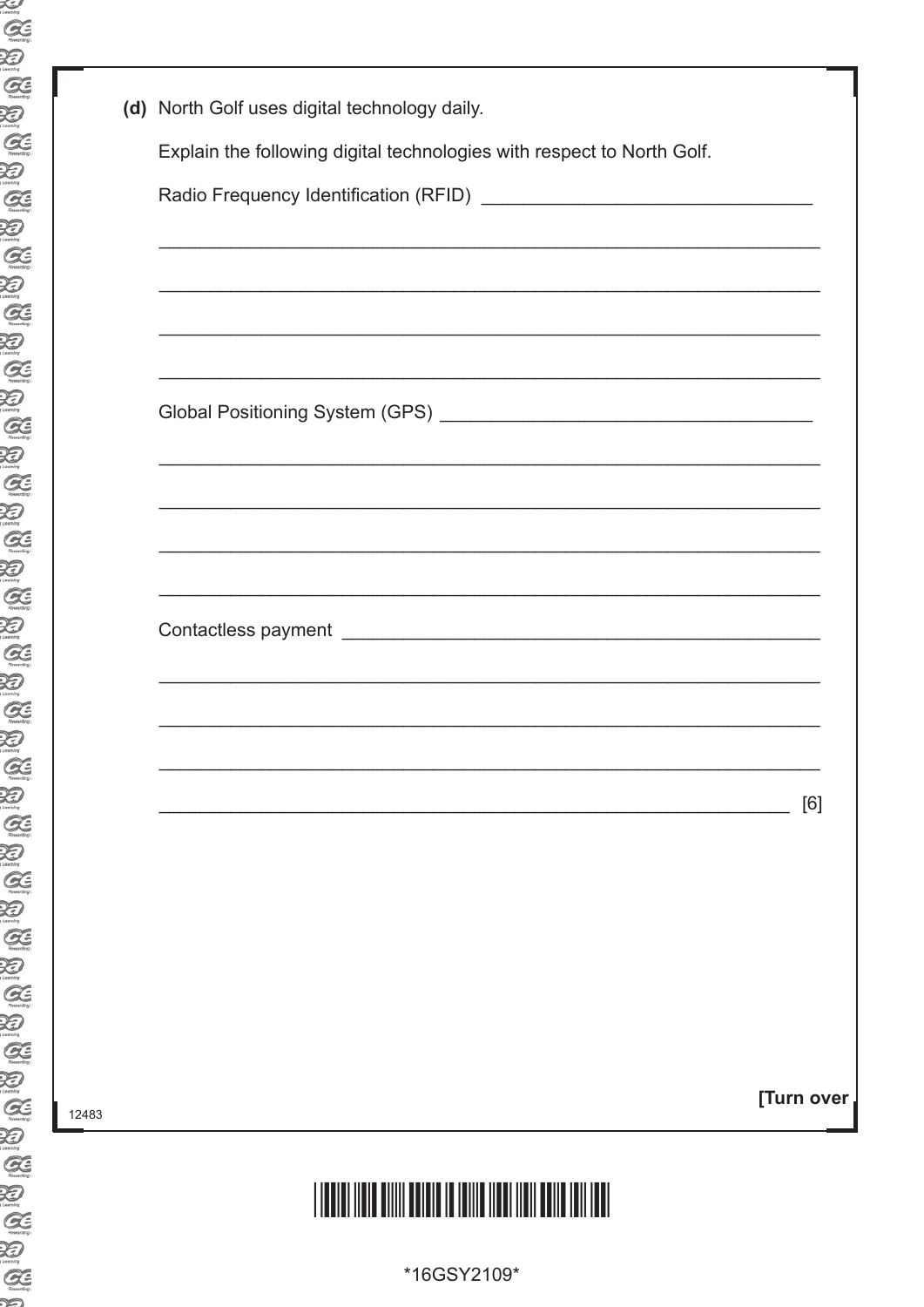| اڪ<br>amby                   |
|------------------------------|
| Œ                            |
| ≫                            |
| $Q_1$                        |
|                              |
| Ð                            |
| Œ                            |
| Ð                            |
| Œ                            |
| Ð                            |
| G                            |
| $\bigotimes$                 |
| Œ                            |
| Ð                            |
|                              |
| $G\in$                       |
| Ð                            |
| $\alpha$                     |
| Ð                            |
| Œ                            |
| ≫                            |
| Œ                            |
| $\sum_{\text{boundary}}$     |
| Œ                            |
| Ð                            |
|                              |
| Œ                            |
| Ð                            |
| $\alpha$                     |
| ≫                            |
| Œ                            |
| Ð                            |
| Œ                            |
| $\sum_{i,\text{continuous}}$ |
| Œ                            |
| Ð                            |
|                              |
| G                            |
| Ð                            |
| Œ                            |
| Ð                            |
| Œ                            |
| Ð                            |
| Œ                            |
| Ð                            |
| Œ                            |
|                              |
| ≫                            |
| Œ                            |
| Ð                            |
| Œ                            |
| ∞                            |

|       | (d) North Golf uses digital technology daily.                          |            |
|-------|------------------------------------------------------------------------|------------|
|       | Explain the following digital technologies with respect to North Golf. |            |
|       |                                                                        |            |
|       |                                                                        |            |
|       |                                                                        |            |
|       |                                                                        |            |
|       |                                                                        |            |
|       |                                                                        |            |
|       |                                                                        |            |
|       |                                                                        |            |
|       |                                                                        |            |
|       |                                                                        |            |
|       |                                                                        |            |
|       |                                                                        |            |
|       |                                                                        | [6]        |
|       |                                                                        |            |
|       |                                                                        |            |
|       |                                                                        |            |
|       |                                                                        |            |
|       |                                                                        |            |
|       |                                                                        | [Turn over |
| 12483 |                                                                        |            |

\*16GSY2109\*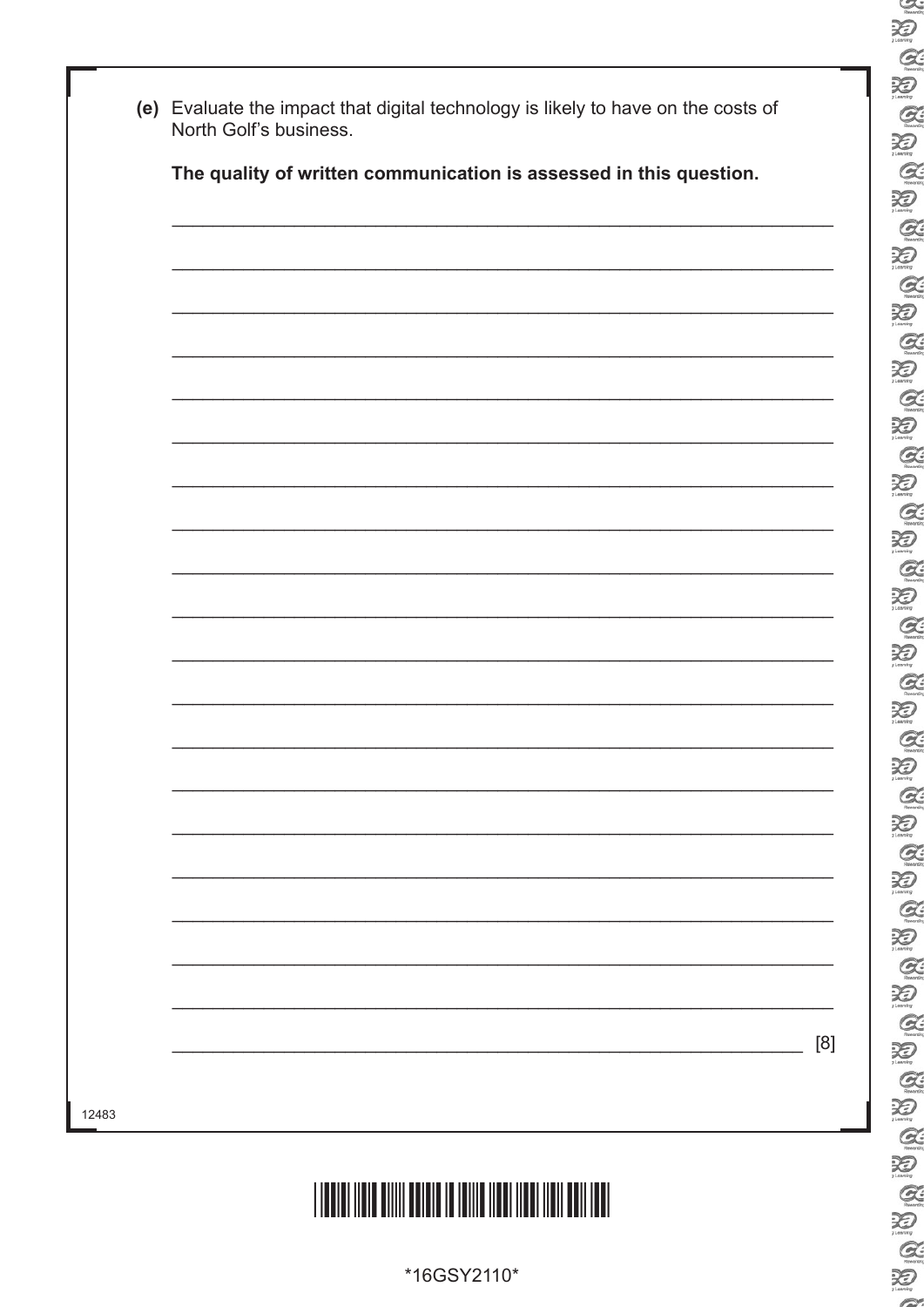| The quality of written communication is assessed in this question. |
|--------------------------------------------------------------------|
|                                                                    |
|                                                                    |
|                                                                    |
|                                                                    |
|                                                                    |
|                                                                    |
|                                                                    |
|                                                                    |
|                                                                    |
|                                                                    |
|                                                                    |
|                                                                    |
|                                                                    |
|                                                                    |
|                                                                    |
|                                                                    |
|                                                                    |
|                                                                    |
|                                                                    |
|                                                                    |
|                                                                    |
|                                                                    |
|                                                                    |
|                                                                    |
|                                                                    |
|                                                                    |
|                                                                    |
|                                                                    |
|                                                                    |

 $\sum_{\substack{\text{matrix}}$ 

E

 $\sum_{i \text{empty}}$  $\alpha$  $\sum_{\text{Gamma}}$ 

E<br>E

 $\alpha$ 

 $\sum_{\text{learning}}$ 

E<br>E

E<br>E

E<br>E

 $\sum_{\text{Rausin}}$ 

20

泡

OCE OF

E<br>E

E

 $\sum_{\text{max}}$ 

 $Q$ 迫

 $\alpha$ 

E

 $\sum_{\text{Z} \text{ learning}}$ 

E<br>E

 $Q$ 

**ABAB** 

S & K

 $\sim$ 

\*16GSY2110\*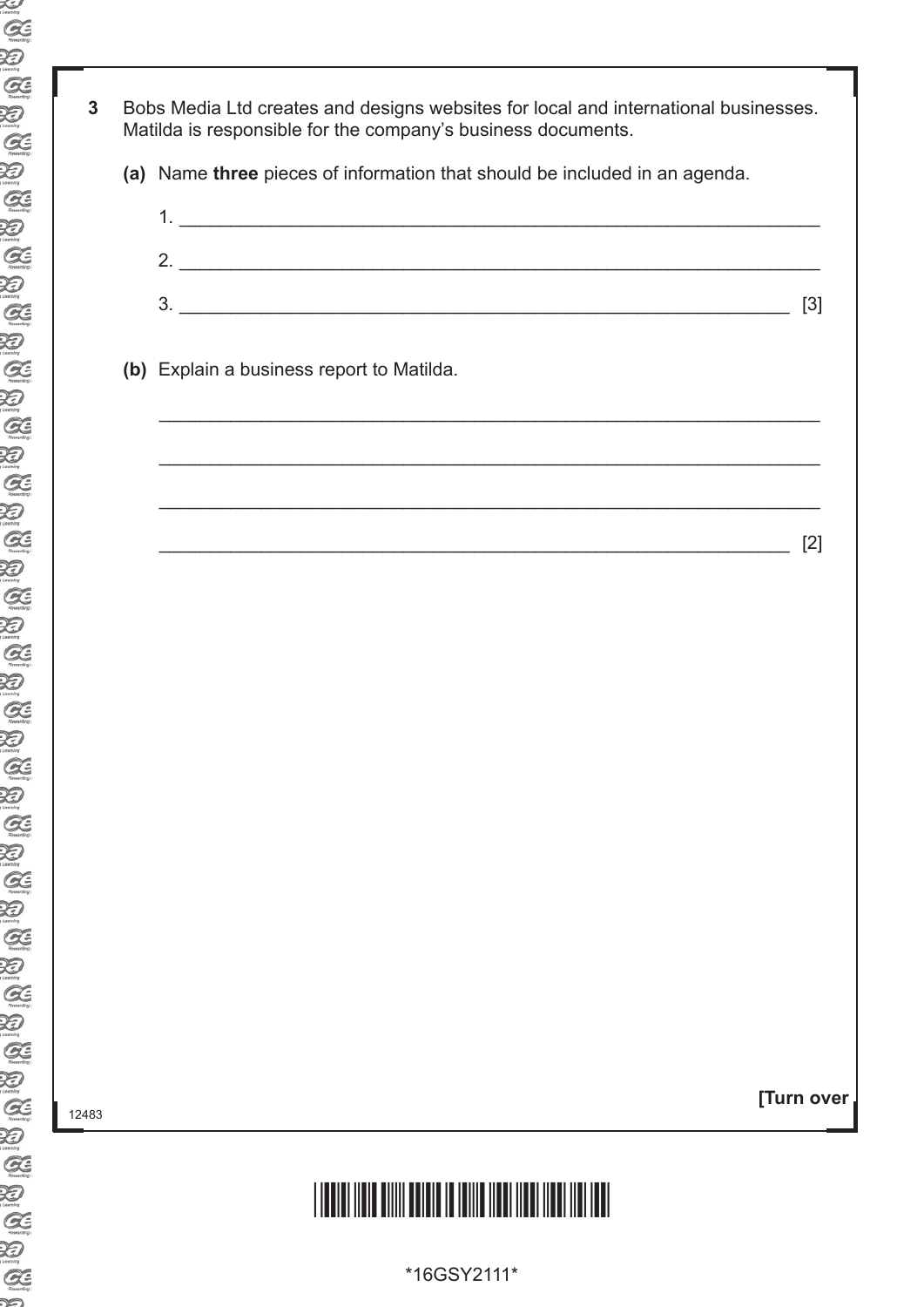- **3** Bobs Media Ltd creates and designs websites for local and international businesses. Matilda is responsible for the company's business documents.
	- **(a)** Name **three** pieces of information that should be included in an agenda.



**[Turn over**

### \*16GSY2111\*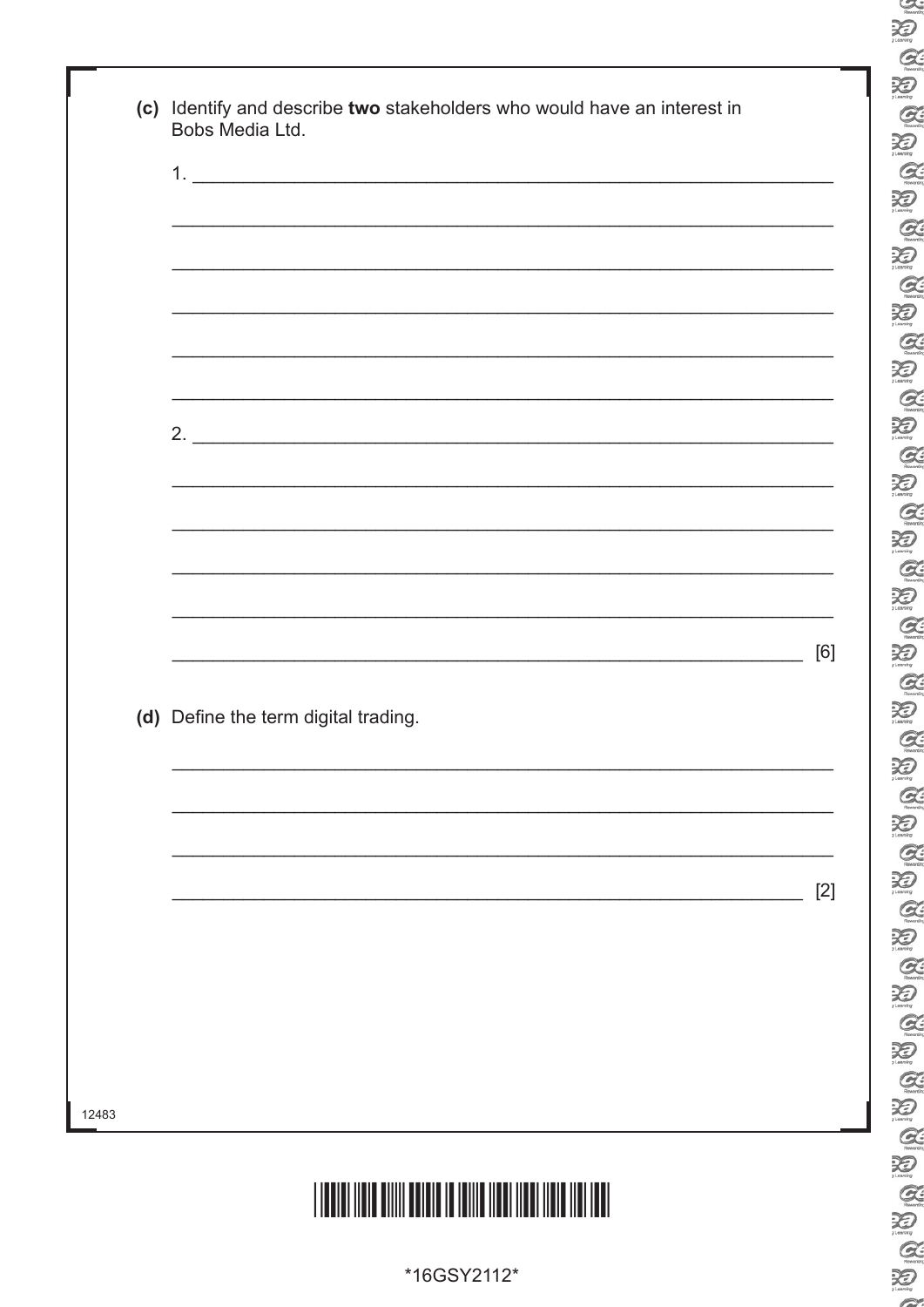|                                      | $[2]$ |
|--------------------------------------|-------|
|                                      |       |
| (d) Define the term digital trading. |       |
|                                      | [6]   |
|                                      |       |
|                                      |       |
|                                      |       |
|                                      |       |

\*16GSY2112\*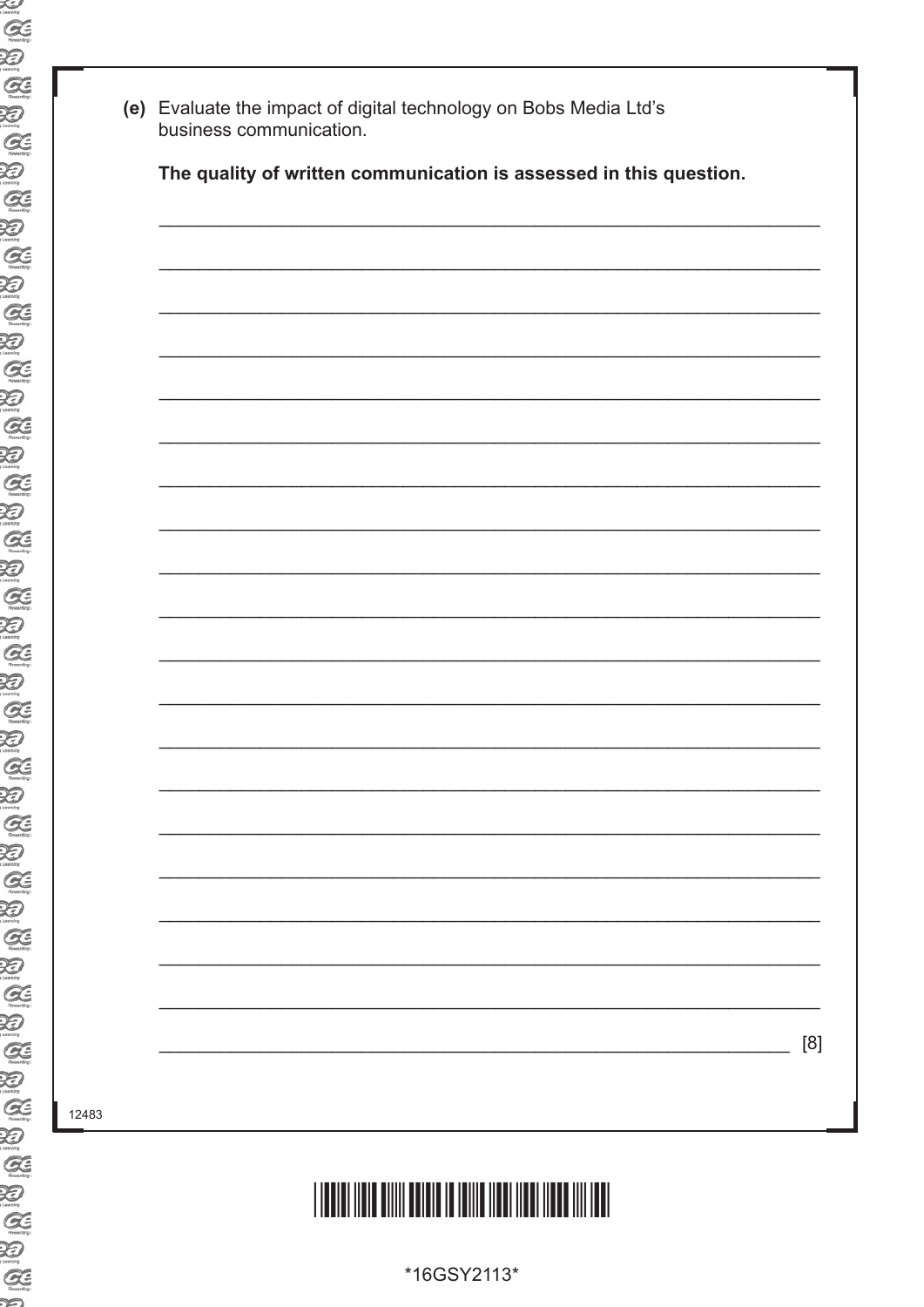| اڪ<br>amby                              |
|-----------------------------------------|
| Œ                                       |
| Ð                                       |
|                                         |
| $G\in$                                  |
| Ð                                       |
| $G\subseteq$                            |
| Đ                                       |
| Œ                                       |
| Đ                                       |
| G                                       |
| Ð                                       |
| G                                       |
| Ð                                       |
| $\mathcal{G}\hspace{-0.1cm}\mathcal{E}$ |
| Ð                                       |
| G                                       |
| Ð                                       |
| Œ                                       |
| Đ                                       |
| Œ                                       |
| <b>X</b>                                |
| Œ                                       |
| ≫                                       |
| Œ                                       |
| H                                       |
| $\overline{\mathcal{G}}$                |
| カ                                       |
| Œ                                       |
| Ð                                       |
| G                                       |
| Ð                                       |
| Œ                                       |
| Ð                                       |
| $G \in$                                 |
| Ð                                       |
| Œ                                       |
| ガ                                       |
| Œ                                       |
| ≫                                       |
| Œ                                       |
| Ð                                       |
| Œ<br>Ð                                  |
|                                         |
|                                         |
| Œ                                       |
| Ð                                       |
| Œ<br>∽                                  |

|  |  | The quality of written communication is assessed in this question. |  |
|--|--|--------------------------------------------------------------------|--|
|  |  |                                                                    |  |
|  |  |                                                                    |  |
|  |  |                                                                    |  |
|  |  |                                                                    |  |
|  |  |                                                                    |  |
|  |  |                                                                    |  |
|  |  |                                                                    |  |
|  |  |                                                                    |  |
|  |  |                                                                    |  |
|  |  |                                                                    |  |
|  |  |                                                                    |  |
|  |  |                                                                    |  |
|  |  |                                                                    |  |
|  |  |                                                                    |  |
|  |  |                                                                    |  |
|  |  |                                                                    |  |
|  |  |                                                                    |  |
|  |  |                                                                    |  |
|  |  |                                                                    |  |
|  |  |                                                                    |  |
|  |  |                                                                    |  |
|  |  |                                                                    |  |
|  |  |                                                                    |  |
|  |  |                                                                    |  |
|  |  |                                                                    |  |
|  |  |                                                                    |  |
|  |  |                                                                    |  |

 $[8]$ 

# 

\*16GSY2113\*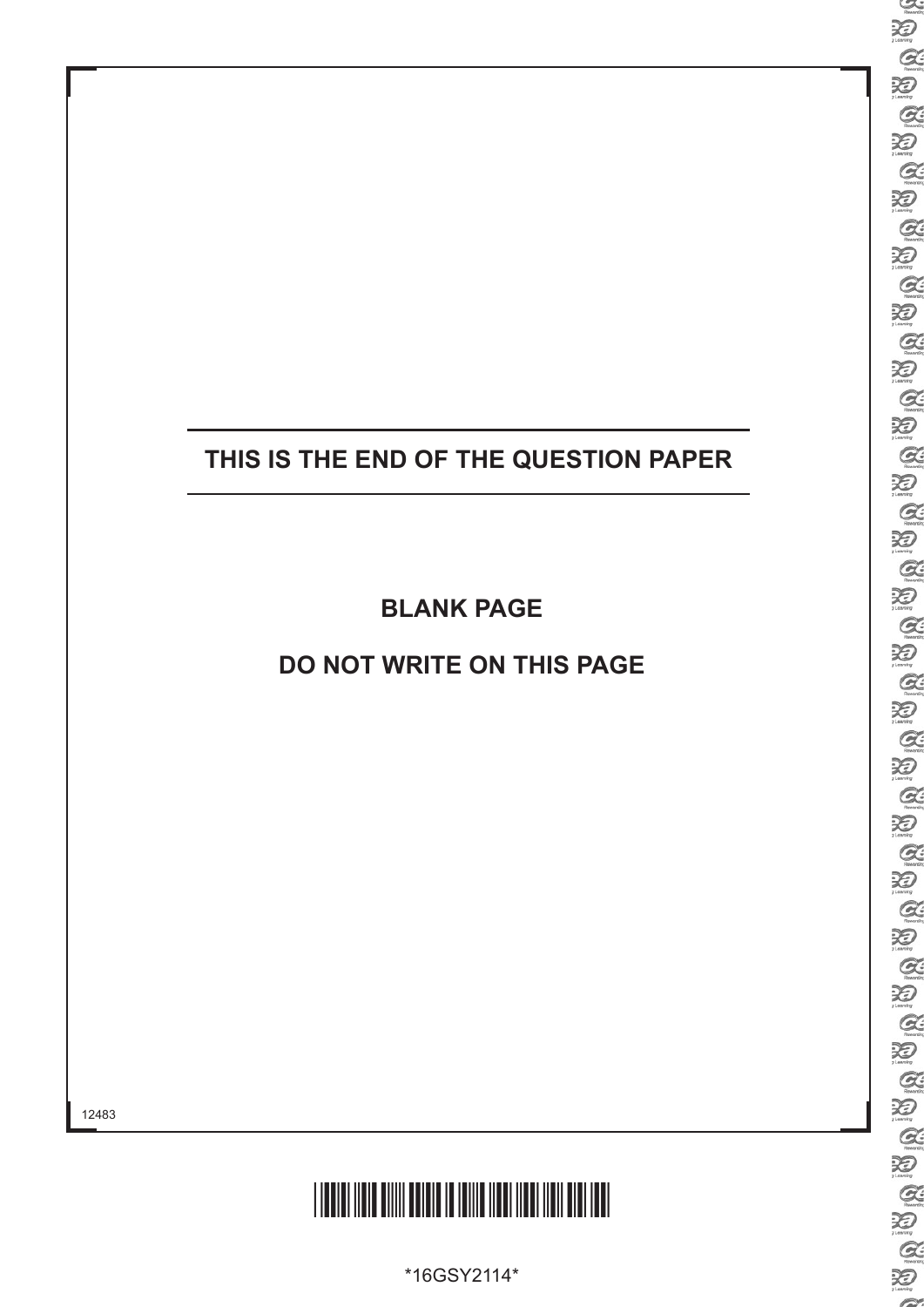### **THIS IS THE END OF THE QUESTION PAPER**

**BLANK PAGE**

**DO NOT WRITE ON THIS PAGE**



\*16GSY2114\*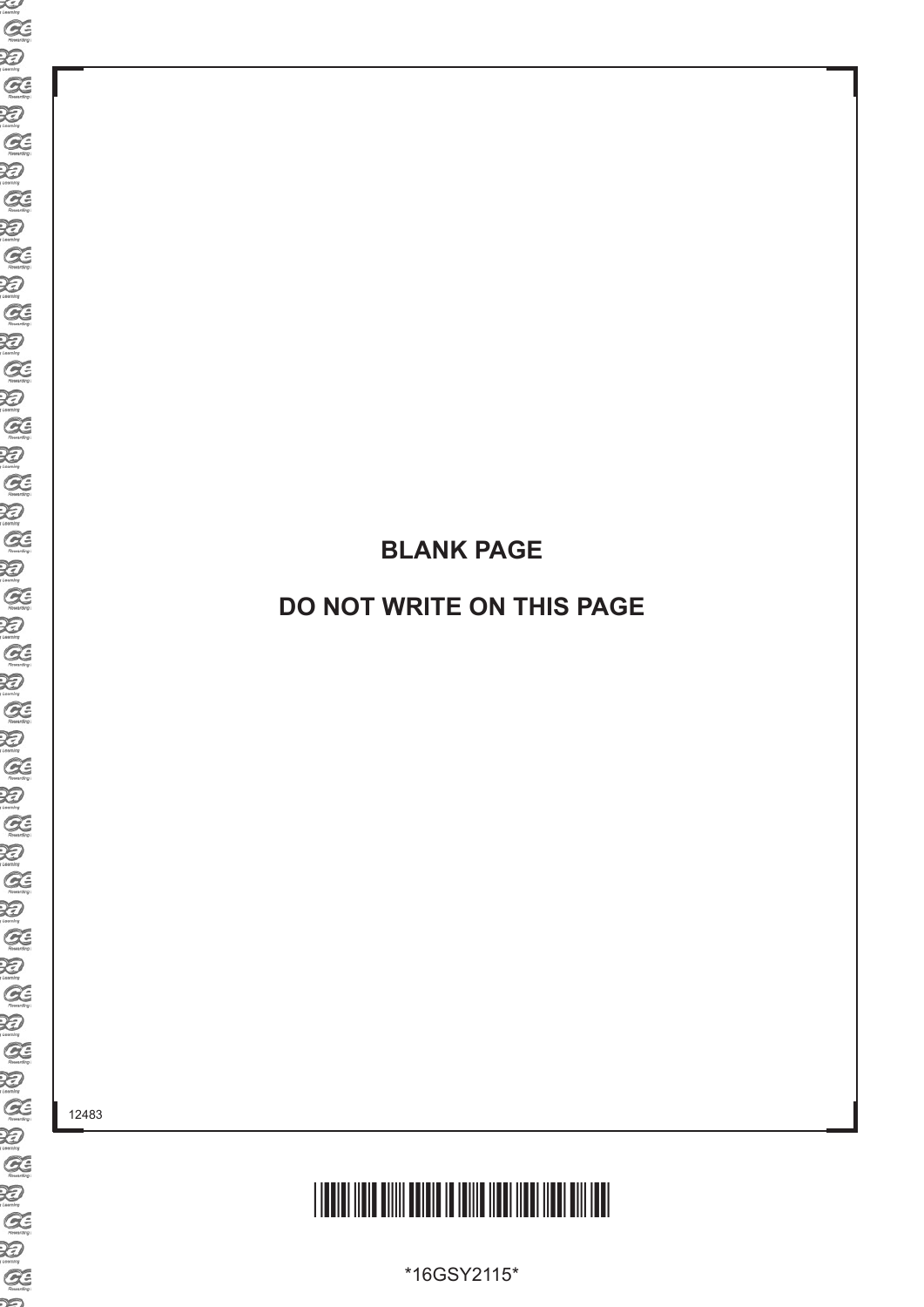## <u>\*16 SY2115 SY2115 SY2115 III 19115 III 1911 III 1911 III 1911 III 1911 III 1911 III 1911 III 1911 III 1911 II</u>

**BLANK PAGE**

**DO NOT WRITE ON THIS PAGE**

\*16GSY2115\*